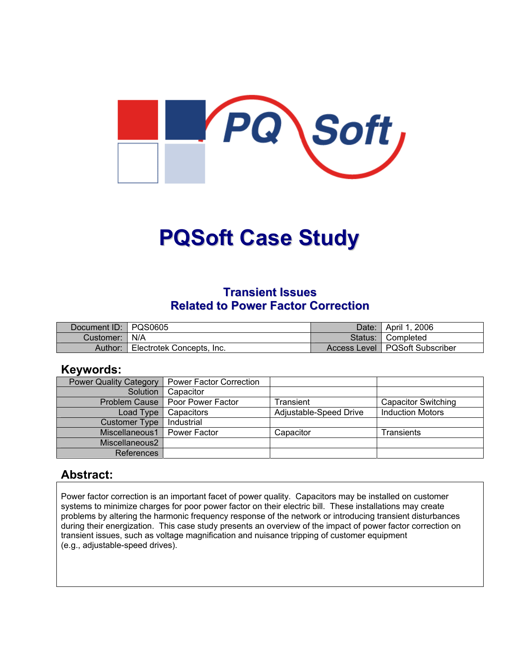

# **PQSoft Case Study**

## **Transient Issues Related to Power Factor Correction**

| Document ID: PQS0605 |                           | Date:   | April 1, 2006                    |
|----------------------|---------------------------|---------|----------------------------------|
| Customer:   N/A      |                           | Status: | <b>■ Completed</b>               |
| Author:              | Electrotek Concepts, Inc. |         | Access Level   PQSoft Subscriber |

#### **Keywords:**

| <b>Power Quality Category</b> | <b>Power Factor Correction</b>    |                        |                            |
|-------------------------------|-----------------------------------|------------------------|----------------------------|
| Solution                      | Capacitor                         |                        |                            |
|                               | Problem Cause   Poor Power Factor | Transient              | <b>Capacitor Switching</b> |
| Load Type                     | Capacitors                        | Adjustable-Speed Drive | <b>Induction Motors</b>    |
| Customer Type                 | Industrial                        |                        |                            |
| Miscellaneous1                | Power Factor                      | Capacitor              | Transients                 |
| Miscellaneous2                |                                   |                        |                            |
| References                    |                                   |                        |                            |

#### **Abstract:**

Power factor correction is an important facet of power quality. Capacitors may be installed on customer systems to minimize charges for poor power factor on their electric bill. These installations may create problems by altering the harmonic frequency response of the network or introducing transient disturbances during their energization. This case study presents an overview of the impact of power factor correction on transient issues, such as voltage magnification and nuisance tripping of customer equipment (e.g., adjustable-speed drives).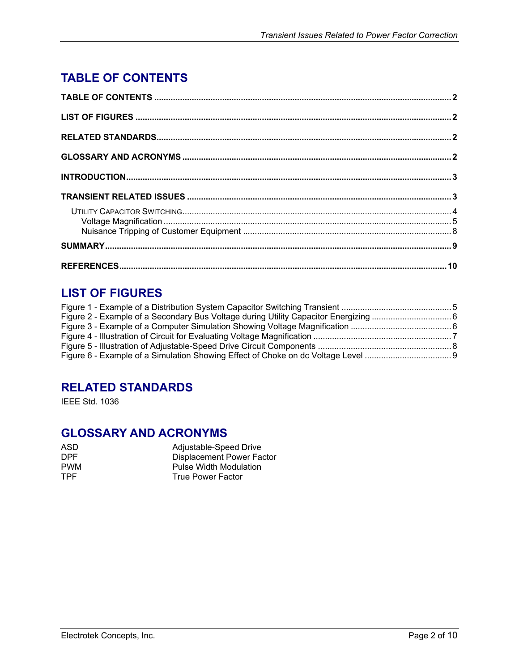# <span id="page-1-0"></span>**TABLE OF CONTENTS**

## **LIST OF FIGURES**

## **RELATED STANDARDS**

IEEE Std. 1036

## **GLOSSARY AND ACRONYMS**

| ASD.       | Adjustable-Speed Drive    |
|------------|---------------------------|
| <b>DPF</b> | Displacement Power Factor |
| <b>PWM</b> | Pulse Width Modulation    |
| TPF.       | True Power Factor         |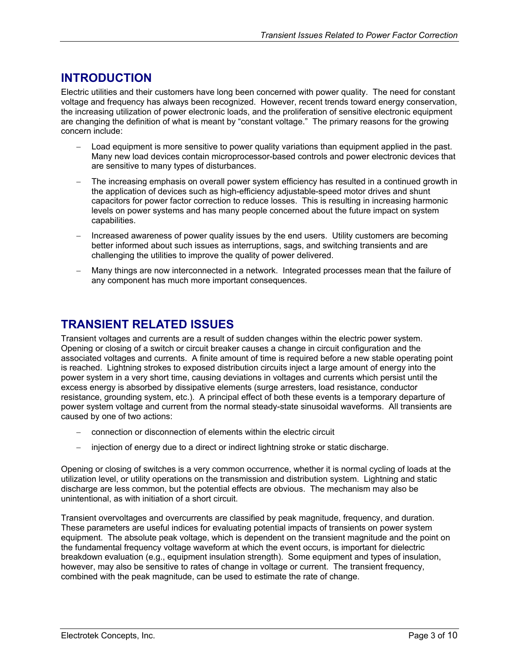## <span id="page-2-0"></span>**INTRODUCTION**

Electric utilities and their customers have long been concerned with power quality. The need for constant voltage and frequency has always been recognized. However, recent trends toward energy conservation, the increasing utilization of power electronic loads, and the proliferation of sensitive electronic equipment are changing the definition of what is meant by "constant voltage." The primary reasons for the growing concern include:

- − Load equipment is more sensitive to power quality variations than equipment applied in the past. Many new load devices contain microprocessor-based controls and power electronic devices that are sensitive to many types of disturbances.
- The increasing emphasis on overall power system efficiency has resulted in a continued growth in the application of devices such as high-efficiency adjustable-speed motor drives and shunt capacitors for power factor correction to reduce losses. This is resulting in increasing harmonic levels on power systems and has many people concerned about the future impact on system capabilities.
- Increased awareness of power quality issues by the end users. Utility customers are becoming better informed about such issues as interruptions, sags, and switching transients and are challenging the utilities to improve the quality of power delivered.
- Many things are now interconnected in a network. Integrated processes mean that the failure of any component has much more important consequences.

## **TRANSIENT RELATED ISSUES**

Transient voltages and currents are a result of sudden changes within the electric power system. Opening or closing of a switch or circuit breaker causes a change in circuit configuration and the associated voltages and currents. A finite amount of time is required before a new stable operating point is reached. Lightning strokes to exposed distribution circuits inject a large amount of energy into the power system in a very short time, causing deviations in voltages and currents which persist until the excess energy is absorbed by dissipative elements (surge arresters, load resistance, conductor resistance, grounding system, etc.). A principal effect of both these events is a temporary departure of power system voltage and current from the normal steady-state sinusoidal waveforms. All transients are caused by one of two actions:

- − connection or disconnection of elements within the electric circuit
- injection of energy due to a direct or indirect lightning stroke or static discharge.

Opening or closing of switches is a very common occurrence, whether it is normal cycling of loads at the utilization level, or utility operations on the transmission and distribution system. Lightning and static discharge are less common, but the potential effects are obvious. The mechanism may also be unintentional, as with initiation of a short circuit.

Transient overvoltages and overcurrents are classified by peak magnitude, frequency, and duration. These parameters are useful indices for evaluating potential impacts of transients on power system equipment. The absolute peak voltage, which is dependent on the transient magnitude and the point on the fundamental frequency voltage waveform at which the event occurs, is important for dielectric breakdown evaluation (e.g., equipment insulation strength). Some equipment and types of insulation, however, may also be sensitive to rates of change in voltage or current. The transient frequency, combined with the peak magnitude, can be used to estimate the rate of change.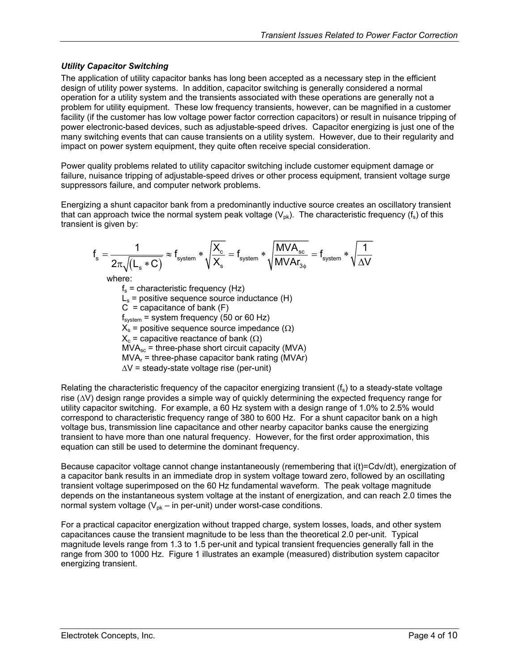#### <span id="page-3-0"></span>*Utility Capacitor Switching*

The application of utility capacitor banks has long been accepted as a necessary step in the efficient design of utility power systems. In addition, capacitor switching is generally considered a normal operation for a utility system and the transients associated with these operations are generally not a problem for utility equipment. These low frequency transients, however, can be magnified in a customer facility (if the customer has low voltage power factor correction capacitors) or result in nuisance tripping of power electronic-based devices, such as adjustable-speed drives. Capacitor energizing is just one of the many switching events that can cause transients on a utility system. However, due to their regularity and impact on power system equipment, they quite often receive special consideration.

Power quality problems related to utility capacitor switching include customer equipment damage or failure, nuisance tripping of adjustable-speed drives or other process equipment, transient voltage surge suppressors failure, and computer network problems.

Energizing a shunt capacitor bank from a predominantly inductive source creates an oscillatory transient that can approach twice the normal system peak voltage  $(V_{nk})$ . The characteristic frequency (f<sub>s</sub>) of this transient is given by:

$$
f_s = \frac{1}{2\pi\sqrt{(L_s * C)}} \approx f_{\text{system}} * \sqrt{\frac{X_c}{X_s}} = f_{\text{system}} * \sqrt{\frac{MVA_{\text{sc}}}{MVAr_{3\phi}}} = f_{\text{system}} * \sqrt{\frac{1}{\Delta V}}
$$
\nwhere:  
\n
$$
f_s = \text{characteristic frequency (Hz)}
$$
\n
$$
L_s = \text{positive sequence source inductance (H)}
$$
\n
$$
C = \text{capacitance of bank (F)}
$$
\n
$$
f_{\text{system}} = \text{system frequency (50 or 60 Hz)}
$$
\n
$$
X_s = \text{positive sequence source impedance } (\Omega)
$$
\n
$$
X_c = \text{capacitive reactance of bank } (\Omega)
$$

 $MVA<sub>sc</sub>$  = three-phase short circuit capacity (MVA)

 $MVA<sub>r</sub>$  = three-phase capacitor bank rating (MVAr)

∆V = steady-state voltage rise (per-unit)

Relating the characteristic frequency of the capacitor energizing transient  $(f_s)$  to a steady-state voltage rise (∆V) design range provides a simple way of quickly determining the expected frequency range for utility capacitor switching. For example, a 60 Hz system with a design range of 1.0% to 2.5% would correspond to characteristic frequency range of 380 to 600 Hz. For a shunt capacitor bank on a high voltage bus, transmission line capacitance and other nearby capacitor banks cause the energizing transient to have more than one natural frequency. However, for the first order approximation, this equation can still be used to determine the dominant frequency.

Because capacitor voltage cannot change instantaneously (remembering that i(t)=Cdv/dt), energization of a capacitor bank results in an immediate drop in system voltage toward zero, followed by an oscillating transient voltage superimposed on the 60 Hz fundamental waveform. The peak voltage magnitude depends on the instantaneous system voltage at the instant of energization, and can reach 2.0 times the normal system voltage  $(V_{pk} - in per-unit)$  under worst-case conditions.

For a practical capacitor energization without trapped charge, system losses, loads, and other system capacitances cause the transient magnitude to be less than the theoretical 2.0 per-unit. Typical magnitude levels range from 1.3 to 1.5 per-unit and typical transient frequencies generally fall in the range from 300 to 1000 Hz. [Figure 1](#page-4-1) illustrates an example (measured) distribution system capacitor energizing transient.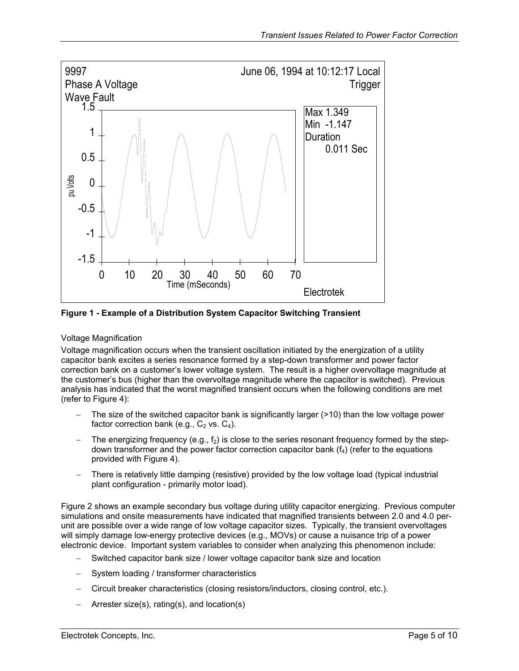<span id="page-4-1"></span><span id="page-4-0"></span>

**Figure 1 - Example of a Distribution System Capacitor Switching Transient** 

#### Voltage Magnification

Voltage magnification occurs when the transient oscillation initiated by the energization of a utility capacitor bank excites a series resonance formed by a step-down transformer and power factor correction bank on a customer's lower voltage system. The result is a higher overvoltage magnitude at the customer's bus (higher than the overvoltage magnitude where the capacitor is switched). Previous analysis has indicated that the worst magnified transient occurs when the following conditions are met (refer to [Figure 4\)](#page-6-1):

- The size of the switched capacitor bank is significantly larger (>10) than the low voltage power factor correction bank (e.g.,  $C_2$  vs.  $C_4$ ).
- The energizing frequency (e.g.,  $f_2$ ) is close to the series resonant frequency formed by the stepdown transformer and the power factor correction capacitor bank  $(f_4)$  (refer to the equations provided with [Figure 4\)](#page-6-1).
- There is relatively little damping (resistive) provided by the low voltage load (typical industrial plant configuration - primarily motor load).

[Figure 2](#page-5-1) shows an example secondary bus voltage during utility capacitor energizing. Previous computer simulations and onsite measurements have indicated that magnified transients between 2.0 and 4.0 perunit are possible over a wide range of low voltage capacitor sizes. Typically, the transient overvoltages will simply damage low-energy protective devices (e.g., MOVs) or cause a nuisance trip of a power electronic device. Important system variables to consider when analyzing this phenomenon include:

- − Switched capacitor bank size / lower voltage capacitor bank size and location
- System loading / transformer characteristics
- − Circuit breaker characteristics (closing resistors/inductors, closing control, etc.).
- − Arrester size(s), rating(s), and location(s)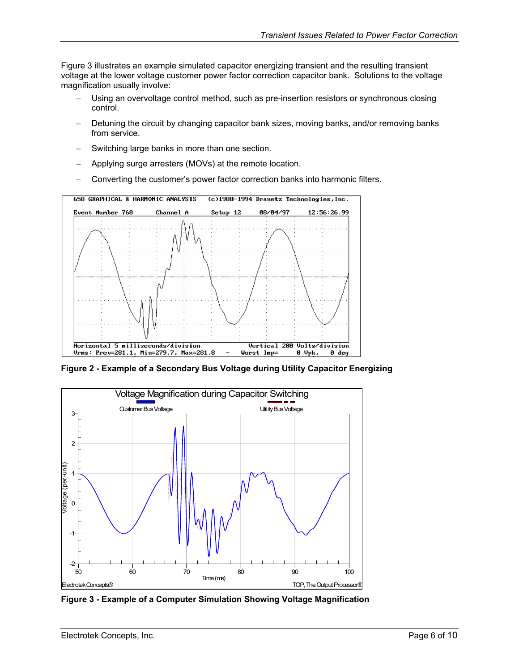<span id="page-5-0"></span>[Figure 3](#page-5-2) illustrates an example simulated capacitor energizing transient and the resulting transient voltage at the lower voltage customer power factor correction capacitor bank. Solutions to the voltage magnification usually involve:

- Using an overvoltage control method, such as pre-insertion resistors or synchronous closing control.
- Detuning the circuit by changing capacitor bank sizes, moving banks, and/or removing banks from service.
- Switching large banks in more than one section.
- − Applying surge arresters (MOVs) at the remote location.
- − Converting the customer's power factor correction banks into harmonic filters.

<span id="page-5-1"></span>

**Figure 2 - Example of a Secondary Bus Voltage during Utility Capacitor Energizing** 

<span id="page-5-2"></span>

**Figure 3 - Example of a Computer Simulation Showing Voltage Magnification**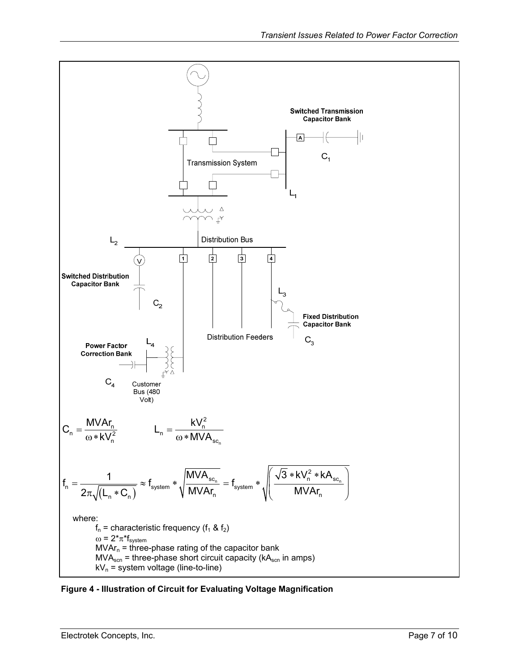<span id="page-6-0"></span>![](_page_6_Figure_1.jpeg)

<span id="page-6-1"></span>**Figure 4 - Illustration of Circuit for Evaluating Voltage Magnification**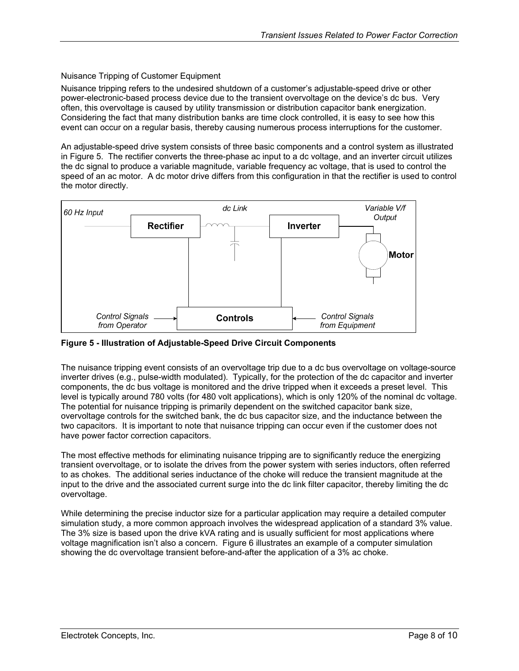#### <span id="page-7-0"></span>Nuisance Tripping of Customer Equipment

Nuisance tripping refers to the undesired shutdown of a customer's adjustable-speed drive or other power-electronic-based process device due to the transient overvoltage on the device's dc bus. Very often, this overvoltage is caused by utility transmission or distribution capacitor bank energization. Considering the fact that many distribution banks are time clock controlled, it is easy to see how this event can occur on a regular basis, thereby causing numerous process interruptions for the customer.

An adjustable-speed drive system consists of three basic components and a control system as illustrated in [Figure 5.](#page-7-1) The rectifier converts the three-phase ac input to a dc voltage, and an inverter circuit utilizes the dc signal to produce a variable magnitude, variable frequency ac voltage, that is used to control the speed of an ac motor. A dc motor drive differs from this configuration in that the rectifier is used to control the motor directly.

<span id="page-7-1"></span>![](_page_7_Figure_4.jpeg)

**Figure 5 - Illustration of Adjustable-Speed Drive Circuit Components** 

The nuisance tripping event consists of an overvoltage trip due to a dc bus overvoltage on voltage-source inverter drives (e.g., pulse-width modulated). Typically, for the protection of the dc capacitor and inverter components, the dc bus voltage is monitored and the drive tripped when it exceeds a preset level. This level is typically around 780 volts (for 480 volt applications), which is only 120% of the nominal dc voltage. The potential for nuisance tripping is primarily dependent on the switched capacitor bank size, overvoltage controls for the switched bank, the dc bus capacitor size, and the inductance between the two capacitors. It is important to note that nuisance tripping can occur even if the customer does not have power factor correction capacitors.

The most effective methods for eliminating nuisance tripping are to significantly reduce the energizing transient overvoltage, or to isolate the drives from the power system with series inductors, often referred to as chokes. The additional series inductance of the choke will reduce the transient magnitude at the input to the drive and the associated current surge into the dc link filter capacitor, thereby limiting the dc overvoltage.

While determining the precise inductor size for a particular application may require a detailed computer simulation study, a more common approach involves the widespread application of a standard 3% value. The 3% size is based upon the drive kVA rating and is usually sufficient for most applications where voltage magnification isn't also a concern. [Figure 6](#page-8-1) illustrates an example of a computer simulation showing the dc overvoltage transient before-and-after the application of a 3% ac choke.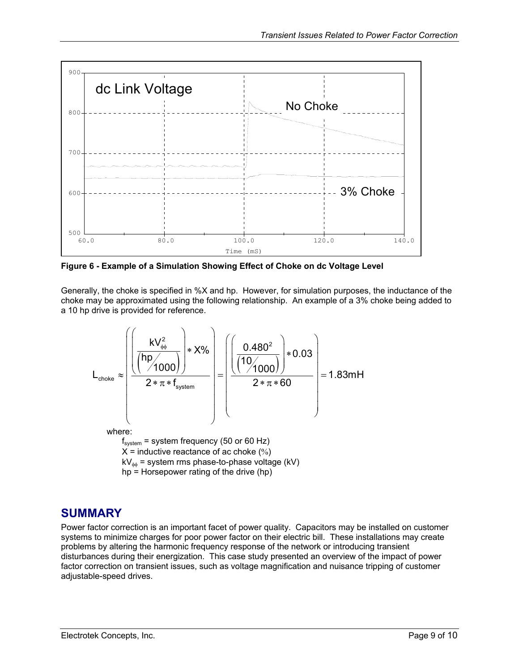<span id="page-8-1"></span><span id="page-8-0"></span>![](_page_8_Figure_1.jpeg)

**Figure 6 - Example of a Simulation Showing Effect of Choke on dc Voltage Level** 

Generally, the choke is specified in %X and hp. However, for simulation purposes, the inductance of the choke may be approximated using the following relationship. An example of a 3% choke being added to a 10 hp drive is provided for reference.

![](_page_8_Figure_4.jpeg)

## **SUMMARY**

Power factor correction is an important facet of power quality. Capacitors may be installed on customer systems to minimize charges for poor power factor on their electric bill. These installations may create problems by altering the harmonic frequency response of the network or introducing transient disturbances during their energization. This case study presented an overview of the impact of power factor correction on transient issues, such as voltage magnification and nuisance tripping of customer adjustable-speed drives.